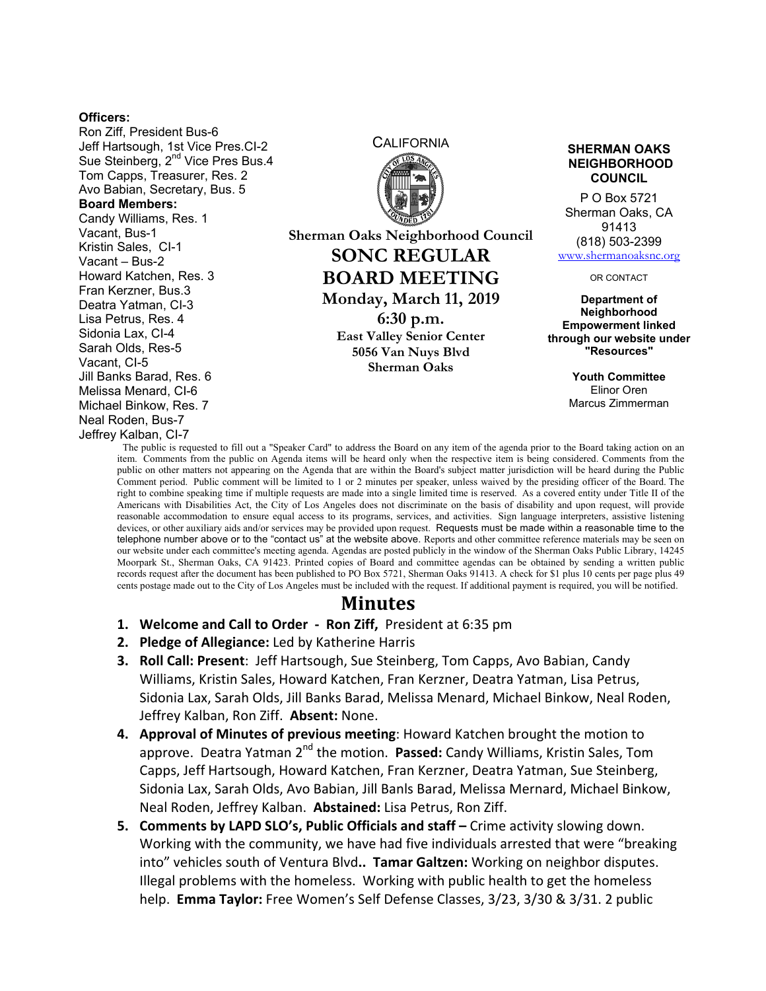## **Officers:**

Ron Ziff, President Bus-6 Jeff Hartsough, 1st Vice Pres.CI-2 Sue Steinberg, 2<sup>nd</sup> Vice Pres Bus.4 Tom Capps, Treasurer, Res. 2 Avo Babian, Secretary, Bus. 5 **Board Members:**  Candy Williams, Res. 1 Vacant, Bus-1 Kristin Sales, CI-1 Vacant – Bus-2 Howard Katchen, Res. 3 Fran Kerzner, Bus.3 Deatra Yatman, CI-3 Lisa Petrus, Res. 4 Sidonia Lax, CI-4 Sarah Olds, Res-5 Vacant, CI-5 Jill Banks Barad, Res. 6 Melissa Menard, CI-6 Michael Binkow, Res. 7 Neal Roden, Bus-7 Jeffrey Kalban, CI-7

**CALIFORNIA** 

**Sherman Oaks Neighborhood Council SONC REGULAR BOARD MEETING Monday, March 11, 2019 6:30 p.m. East Valley Senior Center 5056 Van Nuys Blvd**

**Sherman Oaks**

## **SHERMAN OAKS NEIGHBORHOOD COUNCIL**

P O Box 5721 Sherman Oaks, CA 91413 (818) 503-2399 www.shermanoaksnc.org

OR CONTACT

**Department of Neighborhood Empowerment linked through our website under "Resources"** 

> **Youth Committee**  Elinor Oren Marcus Zimmerman

The public is requested to fill out a "Speaker Card" to address the Board on any item of the agenda prior to the Board taking action on an item. Comments from the public on Agenda items will be heard only when the respective item is being considered. Comments from the public on other matters not appearing on the Agenda that are within the Board's subject matter jurisdiction will be heard during the Public Comment period. Public comment will be limited to 1 or 2 minutes per speaker, unless waived by the presiding officer of the Board. The right to combine speaking time if multiple requests are made into a single limited time is reserved. As a covered entity under Title II of the Americans with Disabilities Act, the City of Los Angeles does not discriminate on the basis of disability and upon request, will provide reasonable accommodation to ensure equal access to its programs, services, and activities. Sign language interpreters, assistive listening devices, or other auxiliary aids and/or services may be provided upon request. Requests must be made within a reasonable time to the telephone number above or to the "contact us" at the website above. Reports and other committee reference materials may be seen on our website under each committee's meeting agenda. Agendas are posted publicly in the window of the Sherman Oaks Public Library, 14245 Moorpark St., Sherman Oaks, CA 91423. Printed copies of Board and committee agendas can be obtained by sending a written public records request after the document has been published to PO Box 5721, Sherman Oaks 91413. A check for \$1 plus 10 cents per page plus 49 cents postage made out to the City of Los Angeles must be included with the request. If additional payment is required, you will be notified.

## **Minutes**

- **1. Welcome and Call to Order Ron Ziff,** President at 6:35 pm
- **2. Pledge of Allegiance:** Led by Katherine Harris
- **3. Roll Call: Present**: Jeff Hartsough, Sue Steinberg, Tom Capps, Avo Babian, Candy Williams, Kristin Sales, Howard Katchen, Fran Kerzner, Deatra Yatman, Lisa Petrus, Sidonia Lax, Sarah Olds, Jill Banks Barad, Melissa Menard, Michael Binkow, Neal Roden, Jeffrey Kalban, Ron Ziff. **Absent:** None.
- **4. Approval of Minutes of previous meeting**: Howard Katchen brought the motion to approve. Deatra Yatman 2<sup>nd</sup> the motion. **Passed:** Candy Williams, Kristin Sales, Tom Capps, Jeff Hartsough, Howard Katchen, Fran Kerzner, Deatra Yatman, Sue Steinberg, Sidonia Lax, Sarah Olds, Avo Babian, Jill Banls Barad, Melissa Mernard, Michael Binkow, Neal Roden, Jeffrey Kalban. **Abstained:** Lisa Petrus, Ron Ziff.
- **5. Comments by LAPD SLO's, Public Officials and staff** Crime activity slowing down. Working with the community, we have had five individuals arrested that were "breaking into" vehicles south of Ventura Blvd**.. Tamar Galtzen:** Working on neighbor disputes. Illegal problems with the homeless. Working with public health to get the homeless help. **Emma Taylor:** Free Women's Self Defense Classes, 3/23, 3/30 & 3/31. 2 public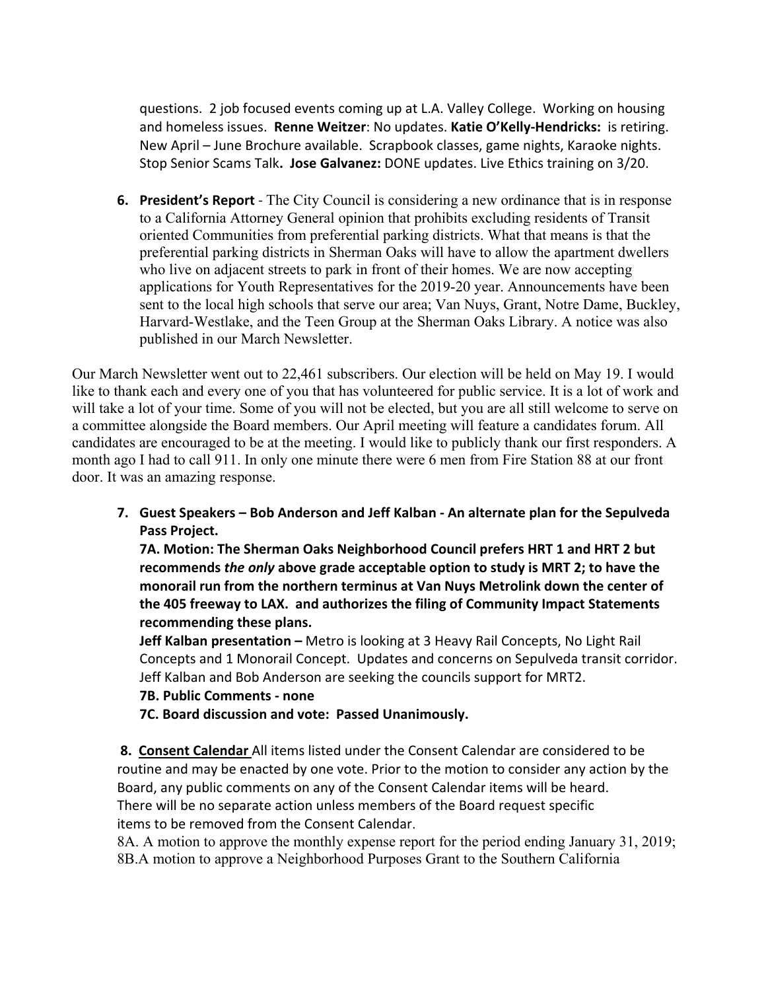questions. 2 job focused events coming up at L.A. Valley College. Working on housing and homeless issues. **Renne Weitzer**: No updates. **Katie O'Kelly-Hendricks:** is retiring. New April – June Brochure available. Scrapbook classes, game nights, Karaoke nights. Stop Senior Scams Talk**. Jose Galvanez:** DONE updates. Live Ethics training on 3/20.

**6. President's Report** - The City Council is considering a new ordinance that is in response to a California Attorney General opinion that prohibits excluding residents of Transit oriented Communities from preferential parking districts. What that means is that the preferential parking districts in Sherman Oaks will have to allow the apartment dwellers who live on adjacent streets to park in front of their homes. We are now accepting applications for Youth Representatives for the 2019-20 year. Announcements have been sent to the local high schools that serve our area; Van Nuys, Grant, Notre Dame, Buckley, Harvard-Westlake, and the Teen Group at the Sherman Oaks Library. A notice was also published in our March Newsletter.

Our March Newsletter went out to 22,461 subscribers. Our election will be held on May 19. I would like to thank each and every one of you that has volunteered for public service. It is a lot of work and will take a lot of your time. Some of you will not be elected, but you are all still welcome to serve on a committee alongside the Board members. Our April meeting will feature a candidates forum. All candidates are encouraged to be at the meeting. I would like to publicly thank our first responders. A month ago I had to call 911. In only one minute there were 6 men from Fire Station 88 at our front door. It was an amazing response.

**7. Guest Speakers – Bob Anderson and Jeff Kalban - An alternate plan for the Sepulveda Pass Project.** 

**7A. Motion: The Sherman Oaks Neighborhood Council prefers HRT 1 and HRT 2 but recommends** *the only* **above grade acceptable option to study is MRT 2; to have the monorail run from the northern terminus at Van Nuys Metrolink down the center of the 405 freeway to LAX. and authorizes the filing of Community Impact Statements recommending these plans.** 

**Jeff Kalban presentation –** Metro is looking at 3 Heavy Rail Concepts, No Light Rail Concepts and 1 Monorail Concept. Updates and concerns on Sepulveda transit corridor. Jeff Kalban and Bob Anderson are seeking the councils support for MRT2.

- **7B. Public Comments none**
- **7C. Board discussion and vote: Passed Unanimously.**

 **8. Consent Calendar** All items listed under the Consent Calendar are considered to be routine and may be enacted by one vote. Prior to the motion to consider any action by the Board, any public comments on any of the Consent Calendar items will be heard. There will be no separate action unless members of the Board request specific items to be removed from the Consent Calendar.

8A. A motion to approve the monthly expense report for the period ending January 31, 2019; 8B.A motion to approve a Neighborhood Purposes Grant to the Southern California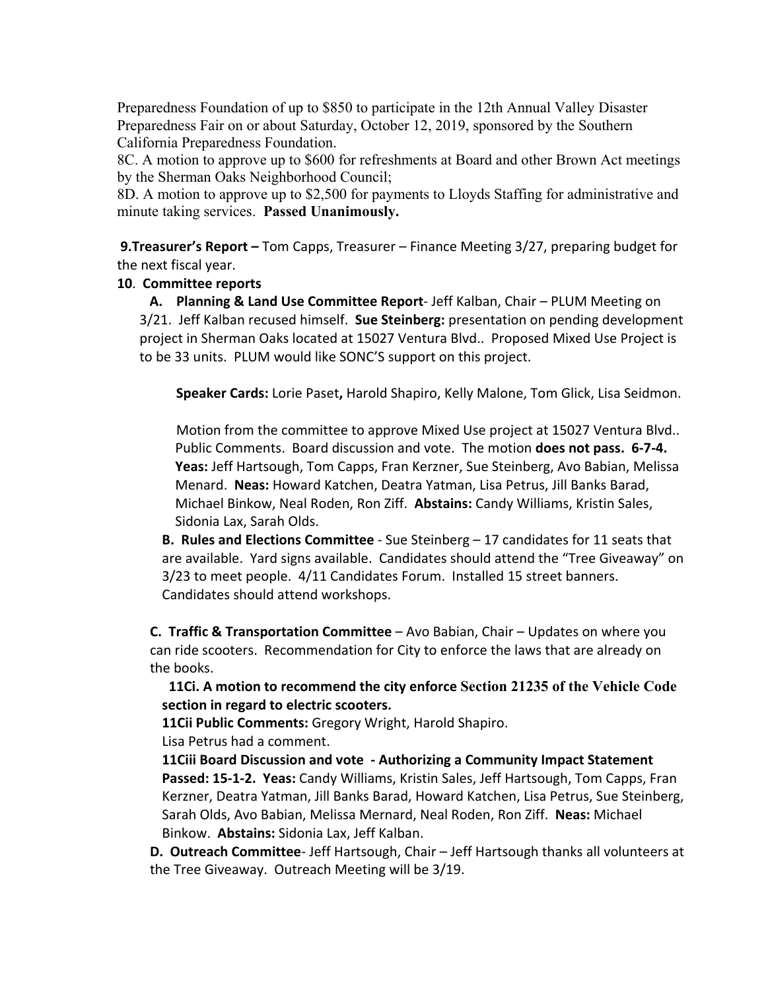Preparedness Foundation of up to \$850 to participate in the 12th Annual Valley Disaster Preparedness Fair on or about Saturday, October 12, 2019, sponsored by the Southern California Preparedness Foundation.

8C. A motion to approve up to \$600 for refreshments at Board and other Brown Act meetings by the Sherman Oaks Neighborhood Council;

8D. A motion to approve up to \$2,500 for payments to Lloyds Staffing for administrative and minute taking services. **Passed Unanimously.** 

 **9.Treasurer's Report –** Tom Capps, Treasurer – Finance Meeting 3/27, preparing budget for the next fiscal year.

## **10**. **Committee reports**

 **A. Planning & Land Use Committee Report**- Jeff Kalban, Chair – PLUM Meeting on 3/21. Jeff Kalban recused himself. **Sue Steinberg:** presentation on pending development project in Sherman Oaks located at 15027 Ventura Blvd.. Proposed Mixed Use Project is to be 33 units. PLUM would like SONC'S support on this project.

**Speaker Cards:** Lorie Paset**,** Harold Shapiro, Kelly Malone, Tom Glick, Lisa Seidmon.

Motion from the committee to approve Mixed Use project at 15027 Ventura Blvd.. Public Comments. Board discussion and vote. The motion **does not pass. 6-7-4. Yeas:** Jeff Hartsough, Tom Capps, Fran Kerzner, Sue Steinberg, Avo Babian, Melissa Menard. **Neas:** Howard Katchen, Deatra Yatman, Lisa Petrus, Jill Banks Barad, Michael Binkow, Neal Roden, Ron Ziff. **Abstains:** Candy Williams, Kristin Sales, Sidonia Lax, Sarah Olds.

**B. Rules and Elections Committee** - Sue Steinberg – 17 candidates for 11 seats that are available. Yard signs available. Candidates should attend the "Tree Giveaway" on 3/23 to meet people. 4/11 Candidates Forum. Installed 15 street banners. Candidates should attend workshops.

**C. Traffic & Transportation Committee** – Avo Babian, Chair – Updates on where you can ride scooters. Recommendation for City to enforce the laws that are already on the books.

 **11Ci. A motion to recommend the city enforce Section 21235 of the Vehicle Code section in regard to electric scooters.** 

**11Cii Public Comments:** Gregory Wright, Harold Shapiro. Lisa Petrus had a comment.

**11Ciii Board Discussion and vote - Authorizing a Community Impact Statement Passed: 15-1-2. Yeas:** Candy Williams, Kristin Sales, Jeff Hartsough, Tom Capps, Fran Kerzner, Deatra Yatman, Jill Banks Barad, Howard Katchen, Lisa Petrus, Sue Steinberg, Sarah Olds, Avo Babian, Melissa Mernard, Neal Roden, Ron Ziff. **Neas:** Michael Binkow. **Abstains:** Sidonia Lax, Jeff Kalban.

**D. Outreach Committee**- Jeff Hartsough, Chair – Jeff Hartsough thanks all volunteers at the Tree Giveaway. Outreach Meeting will be 3/19.